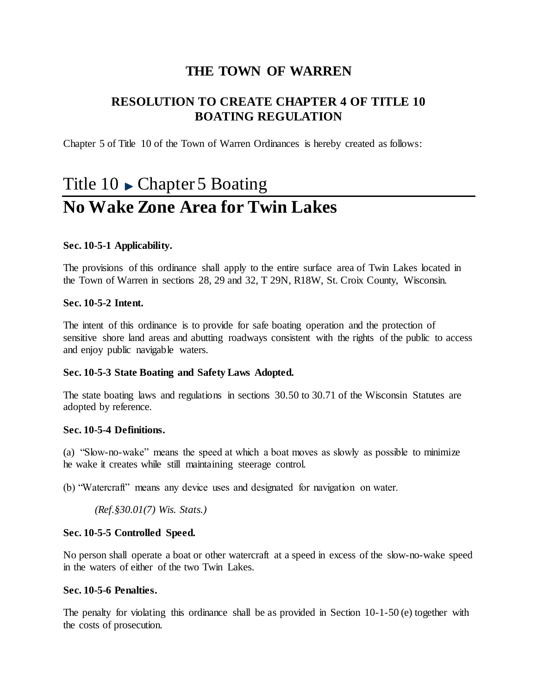## **THE TOWN OF WARREN**

## **RESOLUTION TO CREATE CHAPTER 4 OF TITLE 10 BOATING REGULATION**

Chapter 5 of Title 10 of the Town of Warren Ordinances is hereby created as follows:

# Title  $10 \rightarrow$  Chapter 5 Boating **No Wake Zone Area for Twin Lakes**

#### **Sec. 10-5-1 Applicability.**

The provisions of this ordinance shall apply to the entire surface area of Twin Lakes located in the Town of Warren in sections 28, 29 and 32, T 29N, R18W, St. Croix County, Wisconsin.

#### **Sec. 10-5-2 Intent.**

The intent of this ordinance is to provide for safe boating operation and the protection of sensitive shore land areas and abutting roadways consistent with the rights of the public to access and enjoy public navigable waters.

#### **Sec. 10-5-3 State Boating and Safety Laws Adopted.**

The state boating laws and regulations in sections 30.50 to 30.71 of the Wisconsin Statutes are adopted by reference.

#### **Sec. 10-5-4 Definitions.**

(a) "Slow-no-wake" means the speed at which a boat moves as slowly as possible to minimize he wake it creates while still maintaining steerage control.

(b) "Watercraft" means any device uses and designated for navigation on water.

*(Ref.§30.01(7) Wis. Stats.)*

#### **Sec. 10-5-5 Controlled Speed.**

No person shall operate a boat or other watercraft at a speed in excess of the slow-no-wake speed in the waters of either of the two Twin Lakes.

#### **Sec. 10-5-6 Penalties.**

The penalty for violating this ordinance shall be as provided in Section 10-1-50 (e) together with the costs of prosecution.